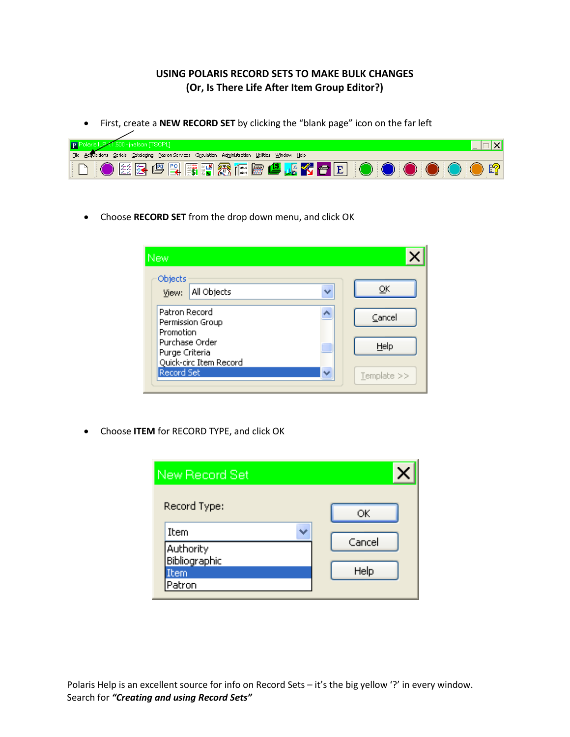## **USING POLARIS RECORD SETS TO MAKE BULK CHANGES (Or, Is There Life After Item Group Editor?)**

First, create a **NEW RECORD SET** by clicking the "blank page" icon on the far left

| .1.500 - jnelson [TSCPL]                                                                              |  |
|-------------------------------------------------------------------------------------------------------|--|
| File Acquisitions Serials Cataloging Patron-Services Circulation Administration Utilities Window Help |  |
| DO 2899RFMACE4K1fEOOOOO01                                                                             |  |

Choose **RECORD SET** from the drop down menu, and click OK

| <b>New</b>                                                 |          |
|------------------------------------------------------------|----------|
| Objects<br>All Objects<br>View:                            | ОК       |
| Patron Record<br>Permission Group<br>Promotion             | Cancel   |
| Purchase Order<br>Purge Criteria<br>Quick-circ Item Record | Help     |
| <b>Record Set</b>                                          | Template |

Choose **ITEM** for RECORD TYPE, and click OK

| New Record Set                                      |                |
|-----------------------------------------------------|----------------|
| Record Type:                                        | ОК             |
| Item<br>Authority<br>Bibliographic<br>Item<br>atron | Cancel<br>Help |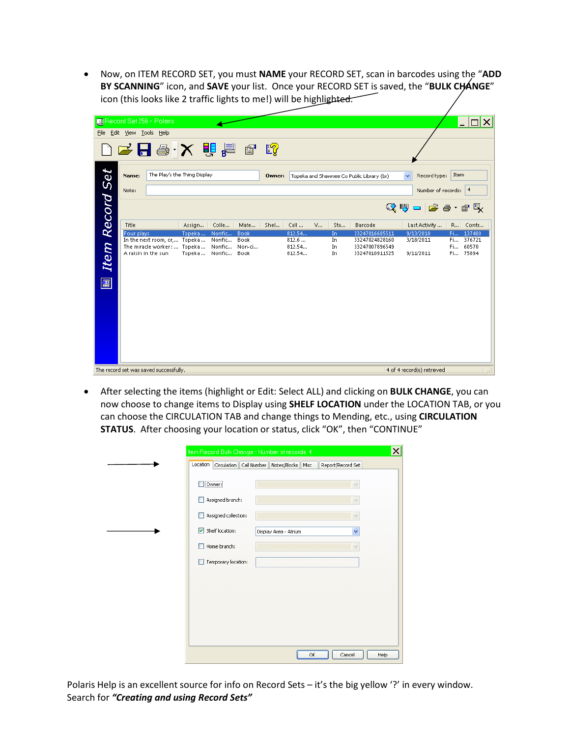Now, on ITEM RECORD SET, you must **NAME** your RECORD SET, scan in barcodes using the "**ADD BY SCANNING**" icon, and **SAVE** your list. Once your RECORD SET is saved, the "**BULK CHANGE**" icon (this looks like 2 traffic lights to me!) will be highlighted.

|            | File Edit View Tools Help | Record Set 256 - Polaris                                                                    |                               |                  |                               |        |                                     |                         |                                                                      |                                                      |          | $ \Box$ $\times$                         |
|------------|---------------------------|---------------------------------------------------------------------------------------------|-------------------------------|------------------|-------------------------------|--------|-------------------------------------|-------------------------|----------------------------------------------------------------------|------------------------------------------------------|----------|------------------------------------------|
|            |                           | D S 日 号 - X 自 看 喝 略                                                                         |                               |                  |                               |        |                                     |                         |                                                                      |                                                      |          |                                          |
|            | Name:<br>Note:            | The Play's the Thing Display                                                                |                               |                  |                               | Owner: |                                     |                         | Topeka and Shawnee Co Public Library (br)                            | $\checkmark$<br>Record type:<br>Number of records: 4 | Item     |                                          |
| Record Set | Title                     |                                                                                             | Assign                        | Colle            | Mate                          | Shel   | Call<br>$\mathsf{V}$                | Sta                     | Barcode                                                              | Q⋓ -   ゴ タ・11 및<br>Last Activity                     |          | R Contr                                  |
| Item<br>團  | Four plays                | In the next room, or, Topeka<br>The miracle worker :  Topeka  Nonfic<br>A raisin in the sun | Topeka<br>Topeka  Nonfic Book | Nonfic<br>Nonfic | <b>Book</b><br>Book<br>Non-ci |        | 812.54<br>812.6<br>812.54<br>812.54 | In.<br>In.<br>In<br>In. | 33247016685511<br>33247024828160<br>33247007896549<br>33247010911525 | 9/13/2010<br>3/18/2011<br>9/11/2011                  | Fi<br>Fi | Fi 137400<br>376721<br>60570<br>Fi 75894 |
|            |                           | The record set was saved successfully.                                                      |                               |                  |                               |        |                                     |                         |                                                                      | 4 of 4 record(s) retrieved                           |          |                                          |

 After selecting the items (highlight or Edit: Select ALL) and clicking on **BULK CHANGE**, you can now choose to change items to Display using **SHELF LOCATION** under the LOCATION TAB, or you can choose the CIRCULATION TAB and change things to Mending, etc., using **CIRCULATION STATUS**. After choosing your location or status, click "OK", then "CONTINUE"

| Location |                      | Circulation   Call Number | Notes/Blocks   Misc   | Report/Record Set |
|----------|----------------------|---------------------------|-----------------------|-------------------|
|          |                      |                           |                       |                   |
|          |                      |                           |                       |                   |
| Owner:   |                      |                           |                       | $\checkmark$      |
|          |                      |                           |                       |                   |
|          | Assigned branch:     |                           |                       | $\vee$            |
|          | Assigned collection: |                           |                       | $\vee$            |
|          |                      |                           |                       |                   |
| 罓        | Shelf location:      |                           | Display Area - Atrium | Y                 |
|          |                      |                           |                       |                   |
|          | Home branch:         |                           |                       | $\checkmark$      |
|          |                      |                           |                       |                   |
|          | Temporary location:  |                           |                       |                   |
|          |                      |                           |                       |                   |
|          |                      |                           |                       |                   |
|          |                      |                           |                       |                   |
|          |                      |                           |                       |                   |
|          |                      |                           |                       |                   |
|          |                      |                           |                       |                   |
|          |                      |                           |                       |                   |
|          |                      |                           |                       |                   |
|          |                      |                           |                       |                   |

Polaris Help is an excellent source for info on Record Sets – it's the big yellow '?' in every window. Search for *"Creating and using Record Sets"*